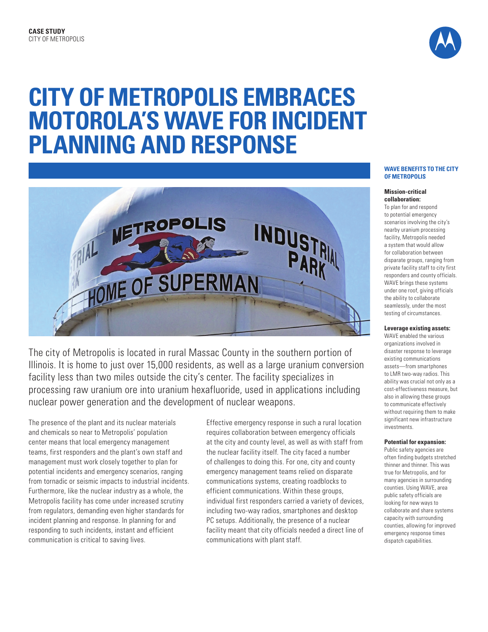

# **CITY OF METROPOLIS EMBRACES MOTOROLA'S WAVE FOR INCIDENT PLANNING AND RESPONSE**



The city of Metropolis is located in rural Massac County in the southern portion of Illinois. It is home to just over 15,000 residents, as well as a large uranium conversion facility less than two miles outside the city's center. The facility specializes in processing raw uranium ore into uranium hexafluoride, used in applications including nuclear power generation and the development of nuclear weapons.

The presence of the plant and its nuclear materials and chemicals so near to Metropolis' population center means that local emergency management teams, first responders and the plant's own staff and management must work closely together to plan for potential incidents and emergency scenarios, ranging from tornadic or seismic impacts to industrial incidents. Furthermore, like the nuclear industry as a whole, the Metropolis facility has come under increased scrutiny from regulators, demanding even higher standards for incident planning and response. In planning for and responding to such incidents, instant and efficient communication is critical to saving lives.

Effective emergency response in such a rural location requires collaboration between emergency officials at the city and county level, as well as with staff from the nuclear facility itself. The city faced a number of challenges to doing this. For one, city and county emergency management teams relied on disparate communications systems, creating roadblocks to efficient communications. Within these groups, individual first responders carried a variety of devices, including two-way radios, smartphones and desktop PC setups. Additionally, the presence of a nuclear facility meant that city officials needed a direct line of communications with plant staff.

### **WAVE BENEFITS TO THE CITY OF METROPOLIS**

### **Mission-critical collaboration:**

To plan for and respond to potential emergency scenarios involving the city's nearby uranium processing facility, Metropolis needed a system that would allow for collaboration between disparate groups, ranging from private facility staff to city first responders and county officials. WAVE brings these systems under one roof, giving officials the ability to collaborate seamlessly, under the most testing of circumstances.

## **Leverage existing assets:**

WAVE enabled the various organizations involved in disaster response to leverage existing communications assets—from smartphones to LMR two-way radios. This ability was crucial not only as a cost-effectiveness measure, but also in allowing these groups to communicate effectively without requiring them to make significant new infrastructure investments.

## **Potential for expansion:**

Public safety agencies are often finding budgets stretched thinner and thinner. This was true for Metropolis, and for many agencies in surrounding counties. Using WAVE, area public safety officials are looking for new ways to collaborate and share systems capacity with surrounding counties, allowing for improved emergency response times dispatch capabilities.